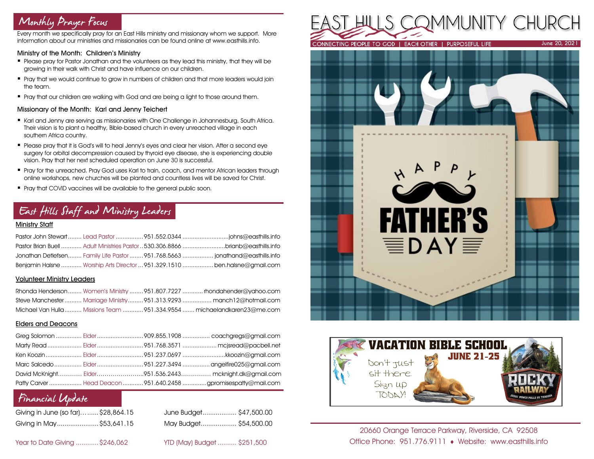# Monthly Prayer Focus

Every month we specifically pray for an East Hills ministry and missionary whom we support. More information about our ministries and missionaries can be found online at www.easthills.info.

### Ministry of the Month: Children's Ministry

- Please pray for Pastor Jonathan and the volunteers as they lead this ministry, that they will be growing in their walk with Christ and have influence on our children.
- Pray that we would continue to grow in numbers of children and that more leaders would join the team.
- Pray that our children are walking with God and are being a light to those around them.

#### Missionary of the Month: Karl and Jenny Teichert

- Karl and Jenny are serving as missionaries with One Challenge in Johannesburg, South Africa. Their vision is to plant a healthy, Bible-based church in every unreached village in each southern Africa country.
- Please pray that it is God's will to heal Jenny's eyes and clear her vision. After a second eye surgery for orbital decompression caused by thyroid eye disease, she is experiencing double vision. Pray that her next scheduled operation on June 30 is successful.
- Pray for the unreached. Pray God uses Karl to train, coach, and mentor African leaders through online workshops, new churches will be planted and countless lives will be saved for Christ.
- Pray that COVID vaccines will be available to the general public soon.

# East Hills Staff and Ministry Leaders

## Ministry Staff

|  | Pastor Brian Buell  Adult Ministries Pastor  530.306.8866 brianb@easthills.info |
|--|---------------------------------------------------------------------------------|
|  | Jonathan Detlefsen Family Life Pastor  951.768.5663  jonathand@easthills.info   |
|  | Benjamin Halsne  Worship Arts Director  951.329.1510  ben.halsne@gmail.com      |

### Volunteer Ministry Leaders

|  | Rhonda Henderson Women's Ministry  951.807.7227  rhondahender@yahoo.com  |
|--|--------------------------------------------------------------------------|
|  | Steve Manchester  Marriage Ministry  951.313.9293  manch12@hotmail.com   |
|  | Michael Van Hulla  Missions Team  951.334.9554  michaelandkaren23@me.com |

## Elders and Deacons

|  | Marty Read  Elder 951.768.3571  mcjsread@pacbell.net            |
|--|-----------------------------------------------------------------|
|  |                                                                 |
|  |                                                                 |
|  | David McKnight Elder951.536.2443 mcknight.dk@gmail.com          |
|  | Patty Carver  Head Deacon  951.640.2458 gpromisespatty@mail.com |

# Financial Update

| Giving in June (so far) \$28,864.15 |  |
|-------------------------------------|--|
| Giving in May\$53,641.15            |  |

5 June Budget.................... \$47,500.00 Giving in May......................\$53,641.15 May Budget................... \$54,500.00

Year to Date Giving ............\$246,062 YTD (May) Budget .......... \$251,500







20660 Orange Terrace Parkway, Riverside, CA 92508 Office Phone: 951.776.9111 Website: www.easthills.info